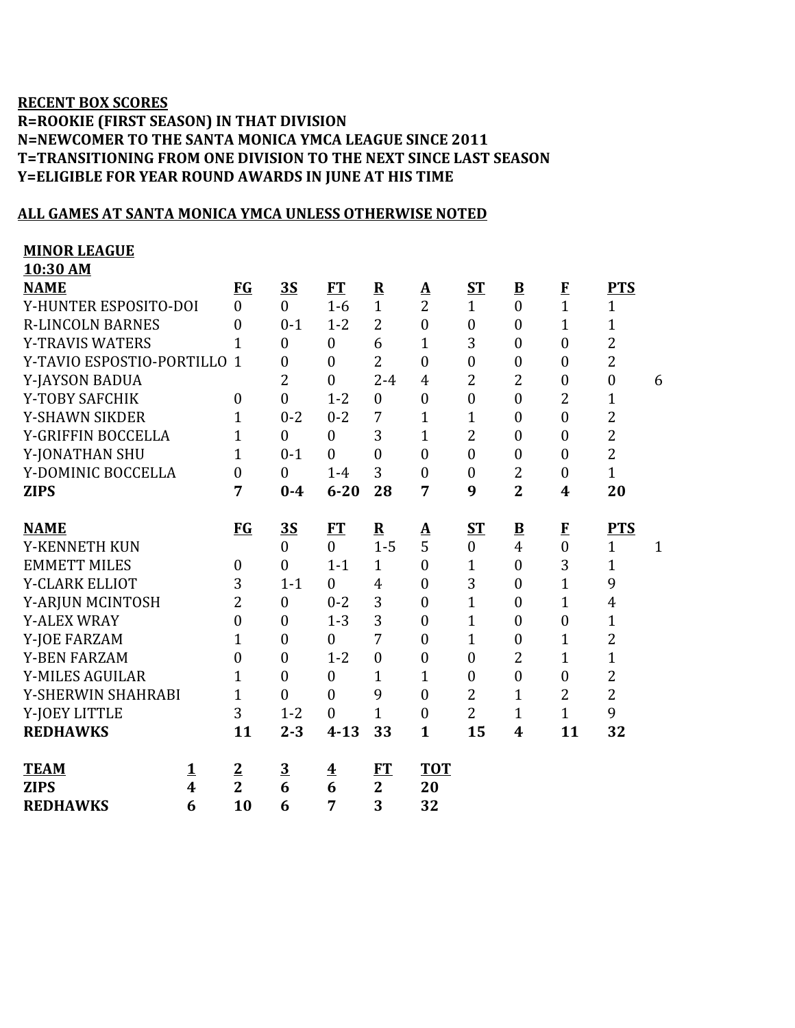## **RECENT BOX SCORES R=ROOKIE (FIRST SEASON) IN THAT DIVISION N=NEWCOMER TO THE SANTA MONICA YMCA LEAGUE SINCE 2011 T=TRANSITIONING FROM ONE DIVISION TO THE NEXT SINCE LAST SEASON Y=ELIGIBLE FOR YEAR ROUND AWARDS IN JUNE AT HIS TIME**

## **ALL GAMES AT SANTA MONICA YMCA UNLESS OTHERWISE NOTED**

| <b>MINOR LEAGUE</b>                    |                  |                         |                         |                |                  |                  |                          |                  |                  |              |
|----------------------------------------|------------------|-------------------------|-------------------------|----------------|------------------|------------------|--------------------------|------------------|------------------|--------------|
| 10:30 AM                               |                  |                         |                         |                |                  |                  |                          |                  |                  |              |
| <b>NAME</b>                            | <b>FG</b>        | 3S                      | FT                      | ${\bf R}$      | $\Delta$         | <b>ST</b>        | $\underline{\mathbf{B}}$ | $\mathbf{F}$     | <b>PTS</b>       |              |
| Y-HUNTER ESPOSITO-DOI                  | $\theta$         | $\Omega$                | $1-6$                   | $\mathbf{1}$   | $\overline{2}$   | $\mathbf{1}$     | $\overline{0}$           | $\mathbf{1}$     | $\mathbf{1}$     |              |
| <b>R-LINCOLN BARNES</b>                | $\theta$         | $0-1$                   | $1 - 2$                 | $\overline{2}$ | $\boldsymbol{0}$ | $\boldsymbol{0}$ | $\overline{0}$           | $\mathbf{1}$     | 1                |              |
| <b>Y-TRAVIS WATERS</b>                 | $\mathbf{1}$     | $\mathbf{0}$            | $\boldsymbol{0}$        | 6              | $\overline{1}$   | 3                | $\overline{0}$           | $\boldsymbol{0}$ | $\overline{2}$   |              |
| Y-TAVIO ESPOSTIO-PORTILLO              | $\mathbf{1}$     | $\boldsymbol{0}$        | $\boldsymbol{0}$        | $\overline{2}$ | $\boldsymbol{0}$ | $\boldsymbol{0}$ | $\boldsymbol{0}$         | $\boldsymbol{0}$ | $\overline{2}$   |              |
| Y-JAYSON BADUA                         |                  | $\overline{2}$          | $\overline{0}$          | $2 - 4$        | $\overline{4}$   | $\overline{2}$   | $\overline{2}$           | $\boldsymbol{0}$ | $\boldsymbol{0}$ | 6            |
| Y-TOBY SAFCHIK                         | $\boldsymbol{0}$ | $\mathbf{0}$            | $1 - 2$                 | $\mathbf{0}$   | $\boldsymbol{0}$ | $\boldsymbol{0}$ | $\boldsymbol{0}$         | 2                | 1                |              |
| <b>Y-SHAWN SIKDER</b>                  | 1                | $0 - 2$                 | $0 - 2$                 | 7              | $\mathbf{1}$     | $\mathbf{1}$     | $\overline{0}$           | $\overline{0}$   | $\overline{2}$   |              |
| Y-GRIFFIN BOCCELLA                     | $\mathbf{1}$     | $\mathbf{0}$            | $\boldsymbol{0}$        | 3              | $\mathbf{1}$     | 2                | $\overline{0}$           | $\overline{0}$   | $\overline{2}$   |              |
| Y-JONATHAN SHU                         | $\mathbf{1}$     | $0 - 1$                 | $\overline{0}$          | $\overline{0}$ | $\mathbf{0}$     | $\boldsymbol{0}$ | $\overline{0}$           | $\mathbf{0}$     | $\overline{2}$   |              |
| Y-DOMINIC BOCCELLA                     | $\overline{0}$   | $\mathbf{0}$            | $1-4$                   | 3              | $\mathbf{0}$     | $\boldsymbol{0}$ | 2                        | $\boldsymbol{0}$ | $\mathbf{1}$     |              |
| <b>ZIPS</b>                            | 7                | $0 - 4$                 | $6 - 20$                | 28             | 7                | 9                | $\overline{2}$           | $\boldsymbol{4}$ | 20               |              |
|                                        |                  |                         |                         |                |                  |                  |                          |                  |                  |              |
| <b>NAME</b>                            | <b>FG</b>        | <u>35</u>               | <b>FT</b>               | ${\bf R}$      | <u>A</u>         | <u>ST</u>        | $\underline{\mathbf{B}}$ | $\bf{F}$         | <b>PTS</b>       |              |
| Y-KENNETH KUN                          |                  | $\overline{0}$          | $\overline{0}$          | $1-5$          | 5                | $\boldsymbol{0}$ | $\overline{4}$           | $\overline{0}$   | $\mathbf{1}$     | $\mathbf{1}$ |
| <b>EMMETT MILES</b>                    | $\boldsymbol{0}$ | $\theta$                | $1 - 1$                 | $\mathbf{1}$   | $\theta$         | $\mathbf 1$      | $\overline{0}$           | 3                | $\mathbf 1$      |              |
| Y-CLARK ELLIOT                         | 3                | $1 - 1$                 | $\boldsymbol{0}$        | $\overline{4}$ | $\boldsymbol{0}$ | 3                | $\boldsymbol{0}$         | $\mathbf{1}$     | 9                |              |
| Y-ARJUN MCINTOSH                       | $\overline{2}$   | $\mathbf{0}$            | $0 - 2$                 | 3              | $\mathbf{0}$     | $\mathbf{1}$     | $\overline{0}$           | $\mathbf{1}$     | $\overline{4}$   |              |
| <b>Y-ALEX WRAY</b>                     | $\theta$         | $\theta$                | $1 - 3$                 | 3              | $\mathbf{0}$     | $\mathbf 1$      | $\overline{0}$           | $\overline{0}$   | $\mathbf{1}$     |              |
| Y-JOE FARZAM                           | $\mathbf{1}$     | $\boldsymbol{0}$        | $\boldsymbol{0}$        | 7              | $\boldsymbol{0}$ | $\mathbf{1}$     | $\overline{0}$           | $\mathbf{1}$     | $\overline{c}$   |              |
| <b>Y-BEN FARZAM</b>                    | $\overline{0}$   | $\boldsymbol{0}$        | $1 - 2$                 | $\overline{0}$ | $\boldsymbol{0}$ | $\boldsymbol{0}$ | $\overline{2}$           | $\mathbf{1}$     | $\overline{1}$   |              |
| Y-MILES AGUILAR                        | 1                | $\overline{0}$          | $\overline{0}$          | $\mathbf{1}$   | $\mathbf{1}$     | $\boldsymbol{0}$ | $\overline{0}$           | $\boldsymbol{0}$ | $\overline{2}$   |              |
| Y-SHERWIN SHAHRABI                     | $\mathbf{1}$     | $\mathbf{0}$            | $\boldsymbol{0}$        | 9              | $\mathbf{0}$     | $\overline{2}$   | $\mathbf{1}$             | $\overline{2}$   | $\overline{2}$   |              |
| Y-JOEY LITTLE                          | 3                | $1 - 2$                 | $\boldsymbol{0}$        | $\mathbf{1}$   | $\overline{0}$   | $\overline{2}$   | $\mathbf{1}$             | $\mathbf{1}$     | 9                |              |
| <b>REDHAWKS</b>                        | 11               | $2 - 3$                 | $4 - 13$                | 33             | $\mathbf{1}$     | 15               | 4                        | 11               | 32               |              |
|                                        |                  |                         |                         |                |                  |                  |                          |                  |                  |              |
| <b>TEAM</b><br><u>1</u>                | $\overline{2}$   | $\overline{\mathbf{3}}$ | $\overline{\textbf{4}}$ | FT             | <b>TOT</b>       |                  |                          |                  |                  |              |
| $\overline{\mathbf{4}}$<br><b>ZIPS</b> | $\overline{2}$   | 6                       | $\overline{6}$          | $\overline{2}$ | 20               |                  |                          |                  |                  |              |
| 6<br><b>REDHAWKS</b>                   | 10               | 6                       | 7                       | 3              | 32               |                  |                          |                  |                  |              |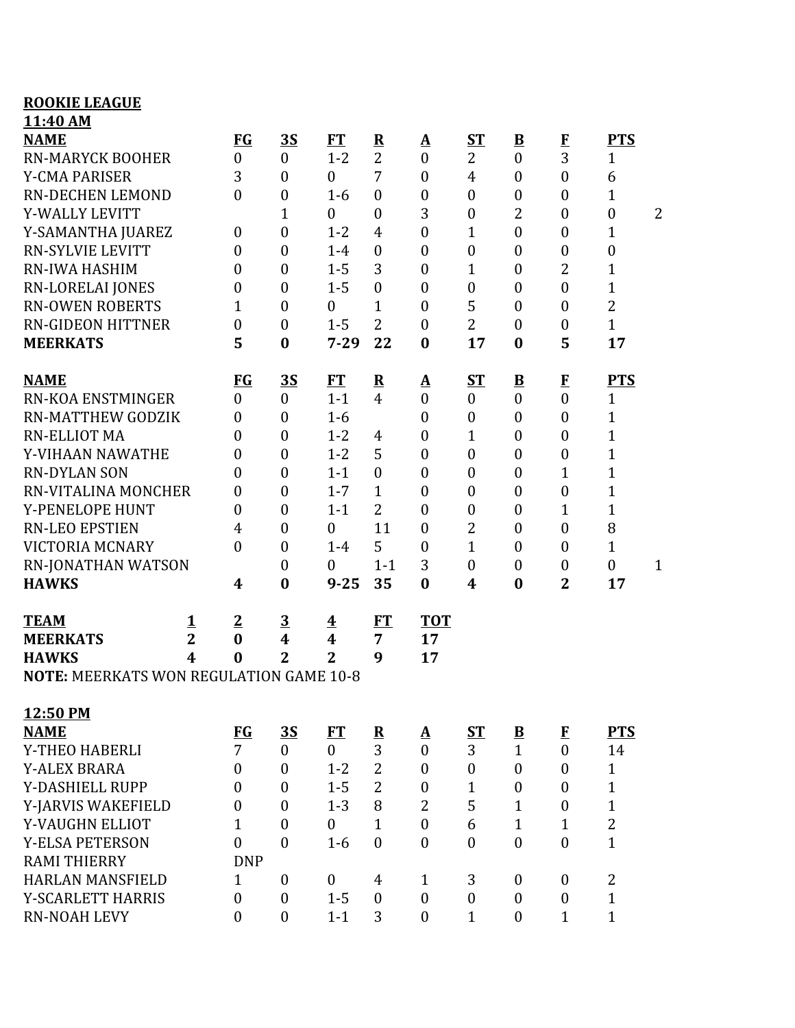## **ROOKIE LEAGUE 11:40 AM**

| <b>NAME</b>                                    |                | $FG$             | <u>3S</u>               | <b>FT</b>               | ${\bf R}$               | <u>A</u>         | ST               | $\underline{\mathbf{B}}$ | $\bf{F}$         | <b>PTS</b>       |              |
|------------------------------------------------|----------------|------------------|-------------------------|-------------------------|-------------------------|------------------|------------------|--------------------------|------------------|------------------|--------------|
| <b>RN-MARYCK BOOHER</b>                        |                | $\boldsymbol{0}$ | $\boldsymbol{0}$        | $1 - 2$                 | $\overline{2}$          | $\boldsymbol{0}$ | 2                | $\boldsymbol{0}$         | 3                | $\mathbf{1}$     |              |
| <b>Y-CMA PARISER</b>                           |                | 3                | $\boldsymbol{0}$        | $\boldsymbol{0}$        | 7                       | $\boldsymbol{0}$ | $\overline{4}$   | $\overline{0}$           | $\boldsymbol{0}$ | 6                |              |
| RN-DECHEN LEMOND                               |                | $\theta$         | $\boldsymbol{0}$        | $1-6$                   | $\mathbf{0}$            | $\boldsymbol{0}$ | $\boldsymbol{0}$ | $\boldsymbol{0}$         | $\boldsymbol{0}$ | 1                |              |
| Y-WALLY LEVITT                                 |                |                  | $\mathbf{1}$            | $\boldsymbol{0}$        | $\boldsymbol{0}$        | 3                | $\boldsymbol{0}$ | $\overline{2}$           | $\boldsymbol{0}$ | $\boldsymbol{0}$ | 2            |
| Y-SAMANTHA JUAREZ                              |                | 0                | $\boldsymbol{0}$        | $1 - 2$                 | $\overline{4}$          | $\boldsymbol{0}$ | $\mathbf{1}$     | $\overline{0}$           | $\boldsymbol{0}$ | 1                |              |
| <b>RN-SYLVIE LEVITT</b>                        |                | 0                | $\boldsymbol{0}$        | $1 - 4$                 | $\boldsymbol{0}$        | $\boldsymbol{0}$ | $\boldsymbol{0}$ | $\overline{0}$           | $\boldsymbol{0}$ | $\boldsymbol{0}$ |              |
| <b>RN-IWA HASHIM</b>                           |                | 0                | $\boldsymbol{0}$        | $1 - 5$                 | 3                       | $\boldsymbol{0}$ | $\mathbf{1}$     | $\overline{0}$           | 2                | $\mathbf{1}$     |              |
| RN-LORELAI JONES                               |                | $\overline{0}$   | $\boldsymbol{0}$        | $1 - 5$                 | $\mathbf{0}$            | $\boldsymbol{0}$ | $\boldsymbol{0}$ | $\overline{0}$           | $\boldsymbol{0}$ | $\mathbf{1}$     |              |
| <b>RN-OWEN ROBERTS</b>                         |                | 1                | $\boldsymbol{0}$        | $\boldsymbol{0}$        | $\mathbf 1$             | $\boldsymbol{0}$ | 5                | $\boldsymbol{0}$         | $\boldsymbol{0}$ | $\overline{2}$   |              |
| <b>RN-GIDEON HITTNER</b>                       |                | $\boldsymbol{0}$ | $\boldsymbol{0}$        | $1 - 5$                 | $\overline{2}$          | $\overline{0}$   | $\overline{2}$   | $\overline{0}$           | $\boldsymbol{0}$ | $\mathbf{1}$     |              |
| <b>MEERKATS</b>                                |                | 5                | $\bf{0}$                | $7 - 29$                | 22                      | $\bf{0}$         | 17               | $\bf{0}$                 | 5                | 17               |              |
| <b>NAME</b>                                    |                | <b>FG</b>        | 3S                      | FT                      | ${\bf R}$               | <u>A</u>         | ST               | $\overline{\mathbf{B}}$  | $\bf{F}$         | <b>PTS</b>       |              |
| <b>RN-KOA ENSTMINGER</b>                       |                | $\overline{0}$   | $\boldsymbol{0}$        | $1 - 1$                 | $\overline{4}$          | $\boldsymbol{0}$ | $\boldsymbol{0}$ | $\boldsymbol{0}$         | $\overline{0}$   | $\mathbf{1}$     |              |
| <b>RN-MATTHEW GODZIK</b>                       |                | $\boldsymbol{0}$ | $\boldsymbol{0}$        | $1-6$                   |                         | $\boldsymbol{0}$ | $\boldsymbol{0}$ | $\overline{0}$           | $\mathbf{0}$     | $\mathbf{1}$     |              |
| <b>RN-ELLIOT MA</b>                            |                | $\boldsymbol{0}$ | $\boldsymbol{0}$        | $1 - 2$                 | 4                       | $\overline{0}$   | $\mathbf{1}$     | $\overline{0}$           | $\boldsymbol{0}$ | 1                |              |
| Y-VIHAAN NAWATHE                               |                | 0                | $\boldsymbol{0}$        | $1 - 2$                 | 5                       | $\boldsymbol{0}$ | $\boldsymbol{0}$ | $\boldsymbol{0}$         | $\boldsymbol{0}$ | $\mathbf{1}$     |              |
| <b>RN-DYLAN SON</b>                            |                | $\boldsymbol{0}$ | $\boldsymbol{0}$        | $1 - 1$                 | $\mathbf{0}$            | $\boldsymbol{0}$ | $\boldsymbol{0}$ | $\overline{0}$           | $\mathbf 1$      | $\mathbf{1}$     |              |
| RN-VITALINA MONCHER                            |                | 0                | $\boldsymbol{0}$        | $1 - 7$                 | $\mathbf{1}$            | $\boldsymbol{0}$ | $\boldsymbol{0}$ | $\overline{0}$           | $\boldsymbol{0}$ | 1                |              |
| Y-PENELOPE HUNT                                |                | $\boldsymbol{0}$ | $\boldsymbol{0}$        | $1 - 1$                 | $\overline{2}$          | $\boldsymbol{0}$ | $\boldsymbol{0}$ | $\overline{0}$           | $\mathbf{1}$     | 1                |              |
| <b>RN-LEO EPSTIEN</b>                          |                | 4                | $\boldsymbol{0}$        | $\boldsymbol{0}$        | 11                      | $\boldsymbol{0}$ | 2                | $\overline{0}$           | $\boldsymbol{0}$ | 8                |              |
| <b>VICTORIA MCNARY</b>                         |                | $\overline{0}$   | $\boldsymbol{0}$        | $1 - 4$                 | 5                       | $\boldsymbol{0}$ | 1                | $\overline{0}$           | $\boldsymbol{0}$ | $\mathbf{1}$     |              |
| RN-JONATHAN WATSON                             |                |                  | $\boldsymbol{0}$        | $\boldsymbol{0}$        | $1 - 1$                 | 3                | $\boldsymbol{0}$ | $\overline{0}$           | $\boldsymbol{0}$ | $\boldsymbol{0}$ | $\mathbf{1}$ |
| <b>HAWKS</b>                                   |                | 4                | $\bf{0}$                | $9 - 25$                | 35                      | $\bf{0}$         | 4                | $\bf{0}$                 | $\overline{2}$   | 17               |              |
| <b>TEAM</b>                                    | 1              | $\overline{2}$   | $\overline{\mathbf{3}}$ | $\overline{\textbf{4}}$ | <b>FT</b>               | <b>TOT</b>       |                  |                          |                  |                  |              |
| <b>MEERKATS</b>                                | $\overline{2}$ | $\bf{0}$         | 4                       | $\boldsymbol{4}$        | $\overline{7}$          | 17               |                  |                          |                  |                  |              |
| <b>HAWKS</b>                                   | 4              | $\bf{0}$         | $\overline{2}$          | $\overline{2}$          | 9                       | 17               |                  |                          |                  |                  |              |
| <b>NOTE: MEERKATS WON REGULATION GAME 10-8</b> |                |                  |                         |                         |                         |                  |                  |                          |                  |                  |              |
| 12:50 PM                                       |                |                  |                         |                         |                         |                  |                  |                          |                  |                  |              |
| <b>NAME</b>                                    |                | $FG$             | <u>35</u>               | FT                      | $\overline{\mathbf{R}}$ | <u>A</u>         | <u>ST</u>        | $\overline{\mathbf{B}}$  | $\bf{F}$         | <b>PTS</b>       |              |
| Y-THEO HABERLI                                 |                | $\overline{7}$   | $\boldsymbol{0}$        | $\overline{0}$          | 3                       | $\boldsymbol{0}$ | 3                | $\mathbf{1}$             | $\mathbf{0}$     | 14               |              |
| <b>Y-ALEX BRARA</b>                            |                | 0                | $\mathbf{0}$            | $1 - 2$                 | $\overline{2}$          | $\mathbf{0}$     | $\boldsymbol{0}$ | $\boldsymbol{0}$         | $\mathbf{0}$     | $\mathbf{1}$     |              |
| Y-DASHIELL RUPP                                |                | $\theta$         | $\boldsymbol{0}$        | $1 - 5$                 | $\overline{2}$          | $\boldsymbol{0}$ | $\mathbf{1}$     | $\mathbf{0}$             | $\boldsymbol{0}$ | $\mathbf{1}$     |              |
| Y-JARVIS WAKEFIELD                             |                | $\boldsymbol{0}$ | $\overline{0}$          | $1 - 3$                 | 8                       | $\overline{2}$   | 5                | $\mathbf{1}$             | $\boldsymbol{0}$ | $\mathbf{1}$     |              |
| Y-VAUGHN ELLIOT                                |                | $\mathbf{1}$     | $\boldsymbol{0}$        | $\boldsymbol{0}$        | $\mathbf{1}$            | $\boldsymbol{0}$ | 6                | $\mathbf{1}$             | $\mathbf{1}$     | $\overline{2}$   |              |
| <b>Y-ELSA PETERSON</b>                         |                | $\overline{0}$   | $\overline{0}$          | $1-6$                   | $\theta$                | $\mathbf{0}$     | $\boldsymbol{0}$ | $\theta$                 | $\mathbf{0}$     | $\mathbf{1}$     |              |
| <b>RAMI THIERRY</b>                            |                | <b>DNP</b>       |                         |                         |                         |                  |                  |                          |                  |                  |              |
| <b>HARLAN MANSFIELD</b>                        |                | $\mathbf{1}$     | $\boldsymbol{0}$        | $\boldsymbol{0}$        | 4                       | $\mathbf{1}$     | 3                | $\mathbf{0}$             | $\mathbf{0}$     | 2                |              |
| Y-SCARLETT HARRIS                              |                | $\overline{0}$   | $\boldsymbol{0}$        | $1 - 5$                 | $\mathbf{0}$            | $\boldsymbol{0}$ | $\boldsymbol{0}$ | $\mathbf{0}$             | $\boldsymbol{0}$ | $\mathbf{1}$     |              |
| <b>RN-NOAH LEVY</b>                            |                | $\boldsymbol{0}$ | $\boldsymbol{0}$        | $1 - 1$                 | 3                       | $\boldsymbol{0}$ | $\mathbf{1}$     | $\boldsymbol{0}$         | $\overline{1}$   | $\overline{1}$   |              |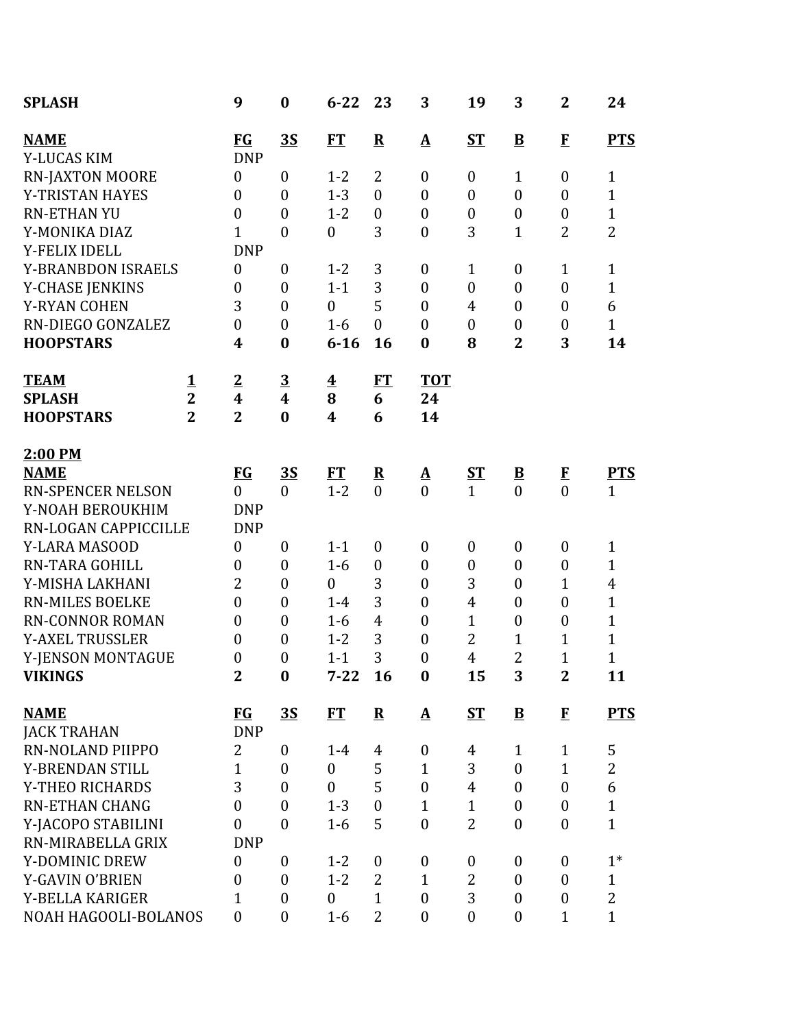| <b>SPLASH</b>             |                | 9                       | $\bf{0}$                | $6 - 22$                | 23               | 3                | 19               | 3                        | $\mathbf{2}$     | 24             |
|---------------------------|----------------|-------------------------|-------------------------|-------------------------|------------------|------------------|------------------|--------------------------|------------------|----------------|
| <b>NAME</b>               |                | <b>FG</b>               | <u>35</u>               | <b>FT</b>               | ${\bf R}$        | ${\bf A}$        | <b>ST</b>        | $\overline{\mathbf{B}}$  | $\bf{F}$         | <b>PTS</b>     |
| Y-LUCAS KIM               |                | <b>DNP</b>              |                         |                         |                  |                  |                  |                          |                  |                |
| <b>RN-JAXTON MOORE</b>    |                | $\boldsymbol{0}$        | $\overline{0}$          | $1 - 2$                 | 2                | $\boldsymbol{0}$ | $\boldsymbol{0}$ | $\mathbf{1}$             | $\boldsymbol{0}$ | 1              |
| Y-TRISTAN HAYES           |                | $\boldsymbol{0}$        | $\boldsymbol{0}$        | $1 - 3$                 | $\mathbf{0}$     | $\boldsymbol{0}$ | $\boldsymbol{0}$ | $\boldsymbol{0}$         | $\boldsymbol{0}$ | $\mathbf{1}$   |
| <b>RN-ETHAN YU</b>        |                | $\boldsymbol{0}$        | $\boldsymbol{0}$        | $1 - 2$                 | $\boldsymbol{0}$ | $\boldsymbol{0}$ | $\boldsymbol{0}$ | $\boldsymbol{0}$         | $\boldsymbol{0}$ | $\mathbf{1}$   |
| Y-MONIKA DIAZ             |                | $\mathbf{1}$            | $\boldsymbol{0}$        | $\boldsymbol{0}$        | 3                | $\overline{0}$   | 3                | $\mathbf{1}$             | $\overline{2}$   | $\overline{2}$ |
| Y-FELIX IDELL             |                | <b>DNP</b>              |                         |                         |                  |                  |                  |                          |                  |                |
| <b>Y-BRANBDON ISRAELS</b> |                | $\boldsymbol{0}$        | $\boldsymbol{0}$        | $1 - 2$                 | 3                | $\boldsymbol{0}$ | $\mathbf{1}$     | $\boldsymbol{0}$         | $\mathbf{1}$     | $\mathbf{1}$   |
| <b>Y-CHASE JENKINS</b>    |                | $\boldsymbol{0}$        | $\boldsymbol{0}$        | $1 - 1$                 | 3<br>5           | $\boldsymbol{0}$ | $\boldsymbol{0}$ | $\boldsymbol{0}$         | $\boldsymbol{0}$ | $\mathbf{1}$   |
| <b>Y-RYAN COHEN</b>       |                | 3                       | $\overline{0}$          | $\mathbf{0}$            |                  | $\overline{0}$   | 4                | $\boldsymbol{0}$         | $\boldsymbol{0}$ | 6              |
| RN-DIEGO GONZALEZ         |                | $\boldsymbol{0}$        | $\boldsymbol{0}$        | $1-6$                   | $\boldsymbol{0}$ | $\boldsymbol{0}$ | $\boldsymbol{0}$ | $\boldsymbol{0}$         | $\boldsymbol{0}$ | $\mathbf{1}$   |
| <b>HOOPSTARS</b>          |                | 4                       | $\bf{0}$                | $6 - 16$                | 16               | $\bf{0}$         | 8                | $\overline{\mathbf{2}}$  | 3                | 14             |
| <b>TEAM</b>               | $\mathbf 1$    | $\overline{2}$          | $\overline{\mathbf{3}}$ | $\overline{\mathbf{4}}$ | FT               | <b>TOT</b>       |                  |                          |                  |                |
| <b>SPLASH</b>             | $\overline{2}$ | $\overline{\mathbf{4}}$ | $\overline{\mathbf{4}}$ | 8                       | 6                | 24               |                  |                          |                  |                |
| <b>HOOPSTARS</b>          | $\overline{2}$ | $\overline{2}$          | $\bf{0}$                | $\overline{\mathbf{4}}$ | 6                | 14               |                  |                          |                  |                |
| 2:00 PM                   |                |                         |                         |                         |                  |                  |                  |                          |                  |                |
| <b>NAME</b>               |                | <b>FG</b>               | <u>35</u>               | ET                      | ${\bf R}$        | <u>A</u>         | <u>ST</u>        | $\underline{\mathbf{B}}$ | $\bf{F}$         | <b>PTS</b>     |
| <b>RN-SPENCER NELSON</b>  |                | $\overline{0}$          | $\boldsymbol{0}$        | $1 - 2$                 | $\overline{0}$   | $\theta$         | $\overline{1}$   | $\overline{0}$           | $\overline{0}$   | $\mathbf{1}$   |
| Y-NOAH BEROUKHIM          |                | <b>DNP</b>              |                         |                         |                  |                  |                  |                          |                  |                |
| RN-LOGAN CAPPICCILLE      |                | <b>DNP</b>              |                         |                         |                  |                  |                  |                          |                  |                |
| Y-LARA MASOOD             |                | $\boldsymbol{0}$        | $\boldsymbol{0}$        | $1 - 1$                 | $\boldsymbol{0}$ | $\boldsymbol{0}$ | $\boldsymbol{0}$ | $\boldsymbol{0}$         | $\boldsymbol{0}$ | $\mathbf{1}$   |
| <b>RN-TARA GOHILL</b>     |                | $\boldsymbol{0}$        | $\boldsymbol{0}$        | $1-6$                   | $\boldsymbol{0}$ | $\boldsymbol{0}$ | $\boldsymbol{0}$ | $\boldsymbol{0}$         | $\boldsymbol{0}$ | $\mathbf{1}$   |
| Y-MISHA LAKHANI           |                | $\overline{2}$          | $\boldsymbol{0}$        | $\mathbf{0}$            | 3                | $\boldsymbol{0}$ | 3                | $\boldsymbol{0}$         | $\mathbf{1}$     | $\overline{4}$ |
| <b>RN-MILES BOELKE</b>    |                | $\boldsymbol{0}$        | $\boldsymbol{0}$        | $1-4$                   | 3                | $\boldsymbol{0}$ | 4                | $\boldsymbol{0}$         | $\boldsymbol{0}$ | $\overline{1}$ |
| <b>RN-CONNOR ROMAN</b>    |                | $\boldsymbol{0}$        | $\boldsymbol{0}$        | $1-6$                   | $\overline{4}$   | $\boldsymbol{0}$ | $\mathbf{1}$     | $\boldsymbol{0}$         | $\boldsymbol{0}$ | $\mathbf{1}$   |
| <b>Y-AXEL TRUSSLER</b>    |                | $\boldsymbol{0}$        | $\boldsymbol{0}$        | $1 - 2$                 | 3                | $\boldsymbol{0}$ | $\overline{2}$   | $\mathbf{1}$             | $\mathbf 1$      | $\overline{1}$ |
| Y-JENSON MONTAGUE         |                | $\boldsymbol{0}$        | $\boldsymbol{0}$        | $1 - 1$                 | 3                | $\boldsymbol{0}$ | 4                | $\overline{2}$           | $\mathbf{1}$     | $\mathbf{1}$   |
| <b>VIKINGS</b>            |                | $\mathbf{2}$            | $\bf{0}$                | $7 - 22$                | 16               | $\bf{0}$         | 15               | 3                        | $\mathbf{2}$     | 11             |
| <b>NAME</b>               |                | $FG$                    | <u>35</u>               | <b>FT</b>               | ${\bf R}$        | $\mathbf A$      | <b>ST</b>        | $\bf{B}$                 | $\bf{F}$         | <b>PTS</b>     |
| <b>JACK TRAHAN</b>        |                | <b>DNP</b>              |                         |                         |                  |                  |                  |                          |                  |                |
| RN-NOLAND PIIPPO          |                | $\overline{2}$          | $\boldsymbol{0}$        | $1 - 4$                 | 4                | $\boldsymbol{0}$ | 4                | $\mathbf{1}$             | $\mathbf{1}$     | 5              |
| Y-BRENDAN STILL           |                | $\mathbf{1}$            | $\overline{0}$          | $\mathbf{0}$            | 5                | $\mathbf{1}$     | 3                | $\boldsymbol{0}$         | $\mathbf{1}$     | $\overline{2}$ |
| Y-THEO RICHARDS           |                | 3                       | $\overline{0}$          | $\mathbf{0}$            | 5                | $\boldsymbol{0}$ | $\overline{4}$   | $\boldsymbol{0}$         | $\overline{0}$   | 6              |
| <b>RN-ETHAN CHANG</b>     |                | $\boldsymbol{0}$        | $\boldsymbol{0}$        | $1 - 3$                 | $\boldsymbol{0}$ | $\mathbf{1}$     | $\mathbf{1}$     | $\boldsymbol{0}$         | $\boldsymbol{0}$ | $\mathbf{1}$   |
| Y-JACOPO STABILINI        |                | $\mathbf{0}$            | $\overline{0}$          | $1-6$                   | 5                | $\overline{0}$   | $\overline{2}$   | $\boldsymbol{0}$         | $\overline{0}$   | $\mathbf{1}$   |
| RN-MIRABELLA GRIX         |                | <b>DNP</b>              |                         |                         |                  |                  |                  |                          |                  |                |
| Y-DOMINIC DREW            |                | $\mathbf{0}$            | $\mathbf{0}$            | $1 - 2$                 | $\boldsymbol{0}$ | $\boldsymbol{0}$ | $\boldsymbol{0}$ | $\boldsymbol{0}$         | $\boldsymbol{0}$ | $1*$           |
| Y-GAVIN O'BRIEN           |                | $\boldsymbol{0}$        | $\boldsymbol{0}$        | $1 - 2$                 | 2                | $\mathbf{1}$     | 2                | $\boldsymbol{0}$         | $\overline{0}$   | $\mathbf{1}$   |
| Y-BELLA KARIGER           |                | 1                       | $\overline{0}$          | $\mathbf{0}$            | $\mathbf{1}$     | $\boldsymbol{0}$ | 3                | $\boldsymbol{0}$         | $\boldsymbol{0}$ | $\overline{2}$ |
| NOAH HAGOOLI-BOLANOS      |                | $\boldsymbol{0}$        | $\boldsymbol{0}$        | $1-6$                   | $\overline{2}$   | $\overline{0}$   | $\boldsymbol{0}$ | $\boldsymbol{0}$         | $\mathbf{1}$     | $\mathbf{1}$   |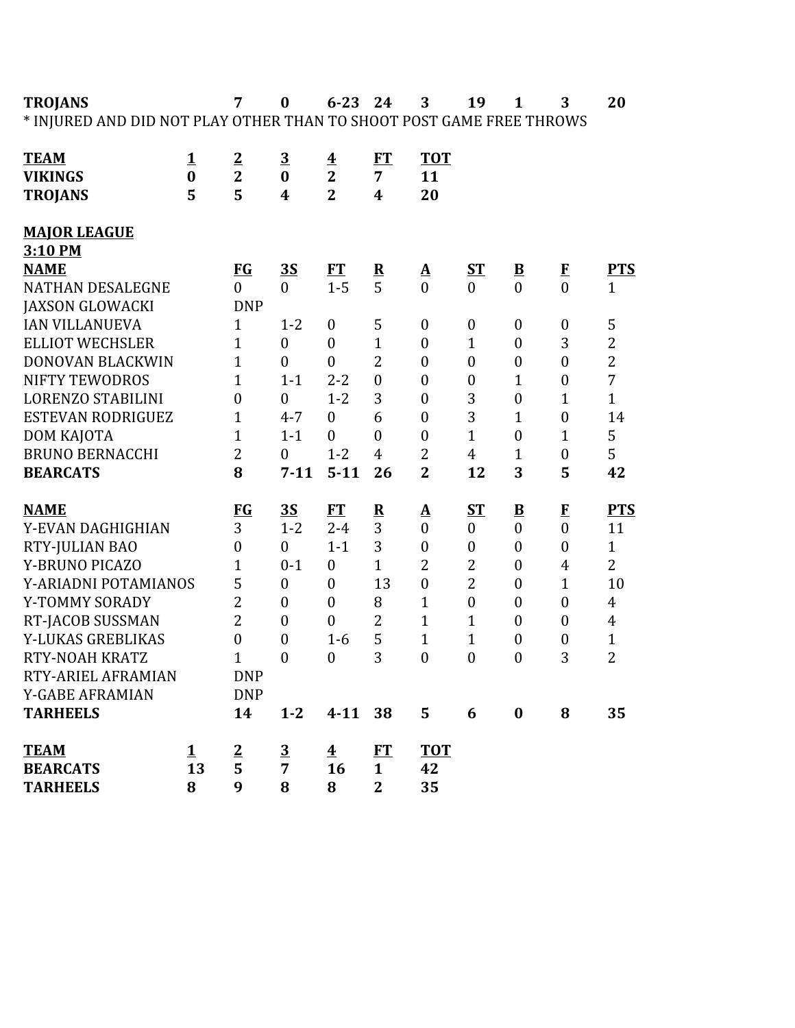**TROJANS 7 0 6-23 24 3 19 1 3 20** \* INJURED AND DID NOT PLAY OTHER THAN TO SHOOT POST GAME FREE THROWS

| <b>TEAM</b>              | $\mathbf{1}$ | $\overline{2}$   | $\overline{3}$          | $\overline{\mathbf{4}}$ | <b>FT</b>               | <b>TOT</b>               |                  |                          |                  |                |
|--------------------------|--------------|------------------|-------------------------|-------------------------|-------------------------|--------------------------|------------------|--------------------------|------------------|----------------|
| <b>VIKINGS</b>           | $\bf{0}$     | $\overline{2}$   | $\bf{0}$                | $\overline{2}$          | $\overline{7}$          | 11                       |                  |                          |                  |                |
| <b>TROJANS</b>           | 5            | 5                | $\overline{\mathbf{4}}$ | $\overline{2}$          | $\overline{\mathbf{4}}$ | 20                       |                  |                          |                  |                |
| <b>MAJOR LEAGUE</b>      |              |                  |                         |                         |                         |                          |                  |                          |                  |                |
| 3:10 PM                  |              |                  |                         |                         |                         |                          |                  |                          |                  |                |
| <b>NAME</b>              |              | FG               | <u>35</u>               | <b>FT</b>               | ${\bf R}$               | $\mathbf{\Delta}$        | S <sub>T</sub>   | $\underline{\mathbf{B}}$ | $\bf{F}$         | <b>PTS</b>     |
| <b>NATHAN DESALEGNE</b>  |              | $\theta$         | $\theta$                | $1-5$                   | 5                       | $\theta$                 | $\overline{0}$   | $\theta$                 | $\theta$         | $\mathbf{1}$   |
| <b>JAXSON GLOWACKI</b>   |              | <b>DNP</b>       |                         |                         |                         |                          |                  |                          |                  |                |
| <b>IAN VILLANUEVA</b>    |              | $\mathbf{1}$     | $1 - 2$                 | $\boldsymbol{0}$        | 5                       | $\boldsymbol{0}$         | $\boldsymbol{0}$ | $\boldsymbol{0}$         | $\boldsymbol{0}$ | 5              |
| <b>ELLIOT WECHSLER</b>   |              | $\mathbf{1}$     | $\boldsymbol{0}$        | $\mathbf{0}$            | $\mathbf{1}$            | $\boldsymbol{0}$         | $\mathbf{1}$     | $\boldsymbol{0}$         | 3                | $\overline{2}$ |
| DONOVAN BLACKWIN         |              | $\mathbf{1}$     | $\overline{0}$          | $\overline{0}$          | $\overline{2}$          | $\mathbf{0}$             | $\boldsymbol{0}$ | $\boldsymbol{0}$         | $\overline{0}$   | $\overline{2}$ |
| <b>NIFTY TEWODROS</b>    |              | $\mathbf{1}$     | $1 - 1$                 | $2 - 2$                 | $\overline{0}$          | $\boldsymbol{0}$         | $\boldsymbol{0}$ | $\mathbf{1}$             | $\overline{0}$   | $\overline{7}$ |
| <b>LORENZO STABILINI</b> |              | $\mathbf{0}$     | $\boldsymbol{0}$        | $1 - 2$                 | 3                       | $\boldsymbol{0}$         | 3                | $\boldsymbol{0}$         | $\mathbf{1}$     | $\mathbf{1}$   |
| <b>ESTEVAN RODRIGUEZ</b> |              | $\mathbf{1}$     | $4 - 7$                 | $\theta$                | 6                       | $\boldsymbol{0}$         | 3                | $\mathbf{1}$             | $\boldsymbol{0}$ | 14             |
| DOM KAJOTA               |              | $\mathbf{1}$     | $1 - 1$                 | $\theta$                | $\theta$                | $\mathbf{0}$             | $\mathbf{1}$     | $\mathbf{0}$             | $\mathbf{1}$     | 5              |
| <b>BRUNO BERNACCHI</b>   |              | $\overline{2}$   | $\theta$                | $1 - 2$                 | $\overline{4}$          | $\overline{2}$           | $\overline{4}$   | $\mathbf{1}$             | $\boldsymbol{0}$ | 5              |
| <b>BEARCATS</b>          |              | 8                | $7 - 11$                | $5 - 11$                | 26                      | $\overline{2}$           | 12               | 3                        | 5                | 42             |
|                          |              |                  |                         |                         |                         |                          |                  |                          |                  |                |
| <b>NAME</b>              |              | FG               | 3S                      | <b>FT</b>               | ${\bf R}$               | $\mathbf{\underline{A}}$ | ST               | ${\bf B}$                | $\bf{F}$         | <b>PTS</b>     |
| Y-EVAN DAGHIGHIAN        |              | 3                | $1 - 2$                 | $2 - 4$                 | 3                       | $\boldsymbol{0}$         | $\boldsymbol{0}$ | $\boldsymbol{0}$         | $\boldsymbol{0}$ | 11             |
| RTY-JULIAN BAO           |              | $\boldsymbol{0}$ | $\boldsymbol{0}$        | $1 - 1$                 | 3                       | $\boldsymbol{0}$         | $\boldsymbol{0}$ | $\boldsymbol{0}$         | $\boldsymbol{0}$ | $\mathbf{1}$   |
| Y-BRUNO PICAZO           |              | $\mathbf{1}$     | $0 - 1$                 | $\overline{0}$          | $\mathbf{1}$            | $\overline{2}$           | $\overline{2}$   | $\overline{0}$           | $\overline{4}$   | $\overline{2}$ |
| Y-ARIADNI POTAMIANOS     |              | 5                | $\boldsymbol{0}$        | $\overline{0}$          | 13                      | $\mathbf{0}$             | $\overline{2}$   | $\boldsymbol{0}$         | $\mathbf{1}$     | 10             |
| Y-TOMMY SORADY           |              | $\overline{2}$   | $\boldsymbol{0}$        | $\overline{0}$          | 8                       | $\mathbf{1}$             | $\boldsymbol{0}$ | $\boldsymbol{0}$         | $\mathbf{0}$     | $\overline{4}$ |
| RT-JACOB SUSSMAN         |              | $\overline{2}$   | $\overline{0}$          | $\theta$                | $\overline{2}$          | $\mathbf{1}$             | $\mathbf{1}$     | $\overline{0}$           | $\overline{0}$   | $\overline{4}$ |
| Y-LUKAS GREBLIKAS        |              | $\mathbf{0}$     | $\overline{0}$          | $1-6$                   | 5                       | $\mathbf{1}$             | $\mathbf{1}$     | $\boldsymbol{0}$         | $\boldsymbol{0}$ | $\mathbf{1}$   |
| RTY-NOAH KRATZ           |              | $\mathbf{1}$     | $\mathbf{0}$            | $\overline{0}$          | 3                       | $\boldsymbol{0}$         | $\mathbf{0}$     | $\mathbf{0}$             | 3                | $\overline{2}$ |
| RTY-ARIEL AFRAMIAN       |              | <b>DNP</b>       |                         |                         |                         |                          |                  |                          |                  |                |
| <b>Y-GABE AFRAMIAN</b>   |              | <b>DNP</b>       |                         |                         |                         |                          |                  |                          |                  |                |
| <b>TARHEELS</b>          |              | 14               | $1 - 2$                 | $4 - 11$                | 38                      | 5                        | 6                | $\bf{0}$                 | 8                | 35             |
|                          |              |                  |                         |                         |                         |                          |                  |                          |                  |                |
| <b>TEAM</b>              | $\mathbf 1$  | $\overline{2}$   | $\overline{3}$          | $\overline{\mathbf{4}}$ | FT                      | <b>TOT</b>               |                  |                          |                  |                |
| <b>BEARCATS</b>          | 13           | 5                | 7                       | 16                      | $\mathbf{1}$            | 42                       |                  |                          |                  |                |
| <b>TARHEELS</b>          | 8            | 9                | 8                       | 8                       | $\overline{2}$          | 35                       |                  |                          |                  |                |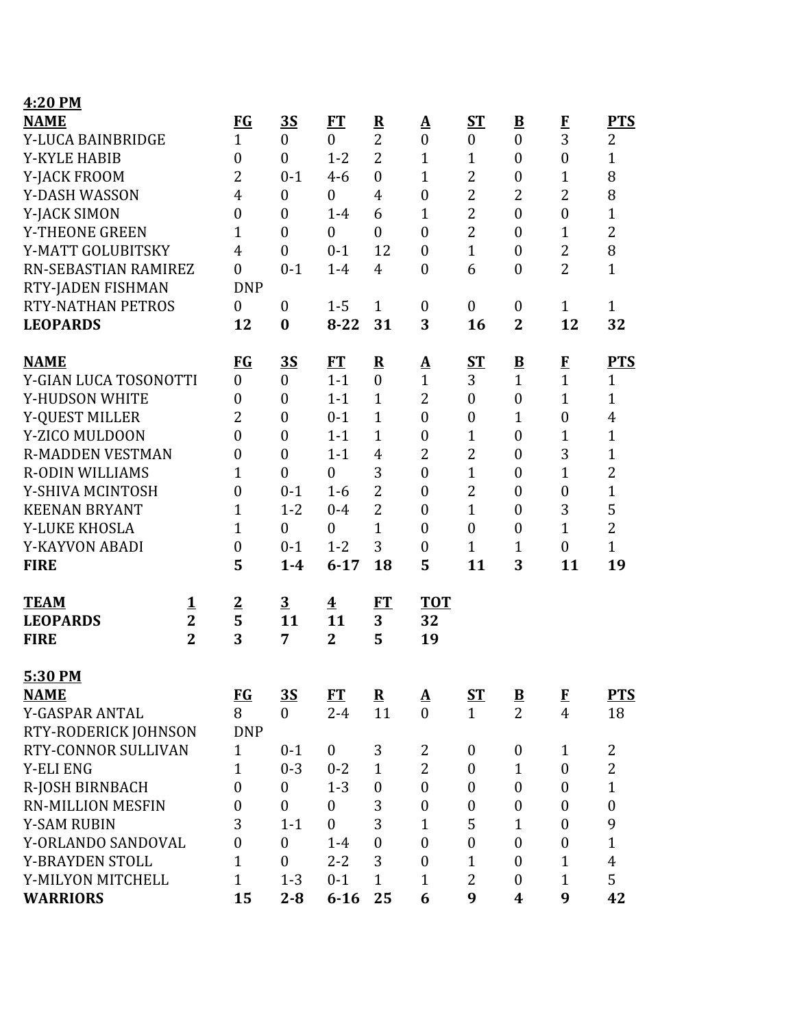| 4:20 PM                                       |                                              |                          |                           |                                               |                         |                        |                  |                          |                  |                  |
|-----------------------------------------------|----------------------------------------------|--------------------------|---------------------------|-----------------------------------------------|-------------------------|------------------------|------------------|--------------------------|------------------|------------------|
| <b>NAME</b>                                   |                                              | <b>FG</b>                | 3S                        | <b>FT</b>                                     | ${\bf R}$               | $\mathbf A$            | <b>ST</b>        | $\overline{\mathbf{B}}$  | $\mathbf{F}$     | <b>PTS</b>       |
| Y-LUCA BAINBRIDGE                             |                                              | $\mathbf{1}$             | $\boldsymbol{0}$          | $\mathbf{0}$                                  | $\overline{2}$          | $\boldsymbol{0}$       | $\boldsymbol{0}$ | $\boldsymbol{0}$         | 3                | 2                |
| <b>Y-KYLE HABIB</b>                           |                                              | $\boldsymbol{0}$         | $\overline{0}$            | $1 - 2$                                       | $\overline{2}$          | $\mathbf{1}$           | $\mathbf{1}$     | $\boldsymbol{0}$         | $\boldsymbol{0}$ | $\mathbf{1}$     |
| Y-JACK FROOM                                  |                                              | $\overline{2}$           | $0 - 1$                   | $4 - 6$                                       | $\mathbf{0}$            | $\mathbf{1}$           | $\overline{2}$   | $\boldsymbol{0}$         | $\mathbf{1}$     | 8                |
| Y-DASH WASSON                                 |                                              | 4                        | $\mathbf{0}$              | $\mathbf{0}$                                  | $\overline{4}$          | $\boldsymbol{0}$       | $\overline{2}$   | $\overline{2}$           | $\overline{2}$   | 8                |
| Y-JACK SIMON                                  |                                              | $\boldsymbol{0}$         | $\overline{0}$            | $1-4$                                         | 6                       | $\mathbf{1}$           | $\overline{2}$   | $\boldsymbol{0}$         | $\mathbf{0}$     | $\mathbf{1}$     |
| Y-THEONE GREEN                                |                                              | $\mathbf{1}$             | $\overline{0}$            | $\mathbf{0}$                                  | $\mathbf{0}$            | $\boldsymbol{0}$       | $\overline{2}$   | $\boldsymbol{0}$         | $\mathbf{1}$     | $\overline{2}$   |
| Y-MATT GOLUBITSKY                             |                                              | $\overline{4}$           | $\boldsymbol{0}$          | $0 - 1$                                       | 12                      | $\boldsymbol{0}$       | $\mathbf{1}$     | $\boldsymbol{0}$         | $\overline{2}$   | 8                |
| RN-SEBASTIAN RAMIREZ                          |                                              | $\boldsymbol{0}$         | $0 - 1$                   | $1-4$                                         | $\overline{4}$          | $\boldsymbol{0}$       | 6                | $\boldsymbol{0}$         | $\overline{2}$   | $\mathbf{1}$     |
| RTY-JADEN FISHMAN                             |                                              | <b>DNP</b>               |                           |                                               |                         |                        |                  |                          |                  |                  |
| <b>RTY-NATHAN PETROS</b>                      |                                              | $\overline{0}$           | $\boldsymbol{0}$          | $1 - 5$                                       | $\mathbf{1}$            | $\boldsymbol{0}$       | $\boldsymbol{0}$ | $\boldsymbol{0}$         | $\mathbf{1}$     | $\mathbf{1}$     |
| <b>LEOPARDS</b>                               |                                              | 12                       | $\bf{0}$                  | $8 - 22$                                      | 31                      | 3                      | 16               | $\overline{2}$           | 12               | 32               |
| <b>NAME</b>                                   |                                              | $FG$                     | <u>3S</u>                 | ET                                            | $\overline{\mathbf{R}}$ | ${\bf A}$              | ST               | $\overline{\mathbf{B}}$  | $\mathbf{F}$     | <b>PTS</b>       |
| Y-GIAN LUCA TOSONOTTI                         |                                              | $\boldsymbol{0}$         | $\boldsymbol{0}$          | $1 - 1$                                       | $\overline{0}$          | $\mathbf{1}$           | 3                | $\mathbf{1}$             | $\mathbf{1}$     | $\mathbf{1}$     |
| Y-HUDSON WHITE                                |                                              | $\boldsymbol{0}$         | $\boldsymbol{0}$          | $1 - 1$                                       | $\mathbf{1}$            | $\overline{2}$         | $\boldsymbol{0}$ | $\boldsymbol{0}$         | $\mathbf{1}$     | $\mathbf{1}$     |
| Y-QUEST MILLER                                |                                              | $\overline{2}$           | $\overline{0}$            | $0 - 1$                                       | $\mathbf{1}$            | $\overline{0}$         | $\boldsymbol{0}$ | $\mathbf{1}$             | $\mathbf{0}$     | $\overline{4}$   |
| Y-ZICO MULDOON                                |                                              | $\boldsymbol{0}$         | $\boldsymbol{0}$          | $1 - 1$                                       | $\mathbf{1}$            | $\boldsymbol{0}$       | $\mathbf{1}$     | $\boldsymbol{0}$         | 1                | $\mathbf{1}$     |
| <b>R-MADDEN VESTMAN</b>                       |                                              | $\boldsymbol{0}$         | $\overline{0}$            | $1 - 1$                                       | $\overline{4}$          | $\overline{2}$         | $\overline{2}$   | $\boldsymbol{0}$         | 3                | $\mathbf{1}$     |
| <b>R-ODIN WILLIAMS</b>                        |                                              | $\mathbf{1}$             | $\overline{0}$            | $\boldsymbol{0}$                              | 3                       | $\boldsymbol{0}$       | $\mathbf{1}$     | $\boldsymbol{0}$         | $\mathbf{1}$     | $\overline{2}$   |
| Y-SHIVA MCINTOSH                              |                                              | $\boldsymbol{0}$         | $0 - 1$                   | $1-6$                                         | $\overline{2}$          | $\boldsymbol{0}$       | $\overline{2}$   | $\boldsymbol{0}$         | $\boldsymbol{0}$ | $\mathbf{1}$     |
| <b>KEENAN BRYANT</b>                          |                                              | $\mathbf{1}$             | $1 - 2$                   | $0 - 4$                                       | $\overline{2}$          | $\boldsymbol{0}$       | $\mathbf{1}$     | $\boldsymbol{0}$         | 3                | 5                |
| Y-LUKE KHOSLA                                 |                                              | 1                        | $\overline{0}$            | $\mathbf{0}$                                  | $\mathbf{1}$            | $\overline{0}$         | $\boldsymbol{0}$ | $\boldsymbol{0}$         | $\mathbf{1}$     | $\overline{2}$   |
| Y-KAYVON ABADI                                |                                              | $\boldsymbol{0}$         | $0 - 1$                   | $1 - 2$                                       | 3                       | $\boldsymbol{0}$       | $\mathbf{1}$     | $\mathbf{1}$             | $\boldsymbol{0}$ | $\mathbf{1}$     |
| <b>FIRE</b>                                   |                                              | 5                        | $1-4$                     | $6 - 17$                                      | 18                      | 5                      | 11               | 3                        | 11               | 19               |
| <b>TEAM</b><br><b>LEOPARDS</b><br><b>FIRE</b> | <u>1</u><br>$\overline{2}$<br>$\overline{2}$ | $\overline{2}$<br>5<br>3 | $\overline{3}$<br>11<br>7 | $\overline{\mathbf{4}}$<br>11<br>$\mathbf{2}$ | FT<br>3<br>5            | <b>TOT</b><br>32<br>19 |                  |                          |                  |                  |
| 5:30 PM                                       |                                              |                          |                           |                                               |                         |                        |                  |                          |                  |                  |
| <b>NAME</b>                                   |                                              | $FG$                     | <u>35</u>                 | FT                                            | ${\bf R}$               | $\mathbf A$            | $S_{\rm T}$      | $\underline{\mathbf{B}}$ | $\mathbf{F}$     | <b>PTS</b>       |
| Y-GASPAR ANTAL                                |                                              | 8                        | $\overline{0}$            | $2 - 4$                                       | 11                      | $\overline{0}$         | $\mathbf{1}$     | $\overline{2}$           | $\overline{4}$   | 18               |
| RTY-RODERICK JOHNSON                          |                                              | <b>DNP</b>               |                           |                                               |                         |                        |                  |                          |                  |                  |
| RTY-CONNOR SULLIVAN                           |                                              | $\mathbf{1}$             | $0 - 1$                   | $\boldsymbol{0}$                              | 3                       | 2                      | $\boldsymbol{0}$ | $\boldsymbol{0}$         | $\mathbf{1}$     | $\overline{2}$   |
| <b>Y-ELI ENG</b>                              |                                              | $\mathbf{1}$             | $0 - 3$                   | $0 - 2$                                       | $\mathbf{1}$            | $\overline{2}$         | $\boldsymbol{0}$ | $\mathbf{1}$             | $\boldsymbol{0}$ | $\overline{2}$   |
| R-JOSH BIRNBACH                               |                                              | $\overline{0}$           | $\boldsymbol{0}$          | $1 - 3$                                       | $\boldsymbol{0}$        | $\boldsymbol{0}$       | $\boldsymbol{0}$ | $\boldsymbol{0}$         | $\boldsymbol{0}$ | $\mathbf{1}$     |
| <b>RN-MILLION MESFIN</b>                      |                                              | $\boldsymbol{0}$         | $\boldsymbol{0}$          | $\boldsymbol{0}$                              | 3                       | $\boldsymbol{0}$       | $\boldsymbol{0}$ | $\boldsymbol{0}$         | $\boldsymbol{0}$ | $\boldsymbol{0}$ |
| <b>Y-SAM RUBIN</b>                            |                                              | 3                        | $1 - 1$                   | $\mathbf{0}$                                  | 3                       | $\mathbf{1}$           | 5                | $\mathbf{1}$             | $\mathbf{0}$     | 9                |
| Y-ORLANDO SANDOVAL                            |                                              | $\boldsymbol{0}$         | $\boldsymbol{0}$          | $1-4$                                         | $\boldsymbol{0}$        | $\boldsymbol{0}$       | $\boldsymbol{0}$ | $\boldsymbol{0}$         | $\boldsymbol{0}$ | $\mathbf{1}$     |
| Y-BRAYDEN STOLL                               |                                              | $\mathbf{1}$             | $\overline{0}$            | $2 - 2$                                       | 3                       | $\overline{0}$         | $\mathbf{1}$     | $\boldsymbol{0}$         | $\mathbf{1}$     | $\overline{4}$   |
| Y-MILYON MITCHELL                             |                                              | $\mathbf{1}$             | $1 - 3$                   | $0 - 1$                                       | $\mathbf{1}$            | $\mathbf{1}$           | 2                | $\boldsymbol{0}$         | 1                | 5                |
| <b>WARRIORS</b>                               |                                              | 15                       | $2 - 8$                   | $6 - 16$                                      | 25                      | 6                      | 9                | 4                        | 9                | 42               |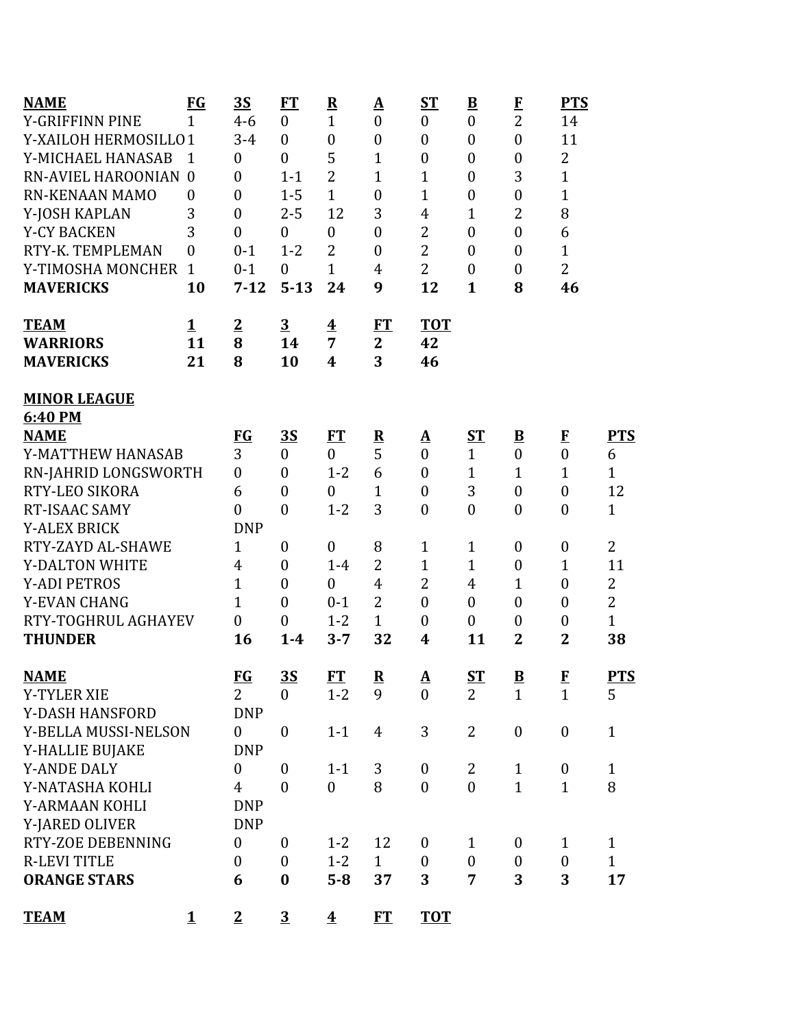| <b>NAME</b>           | <b>FG</b>        | 3S               | <b>FT</b>        | ${\bf R}$               | $\Delta$                 | $ST$                       | $\underline{\mathbf{B}}$ | $\bf{F}$                 | <b>PTS</b>              |                |
|-----------------------|------------------|------------------|------------------|-------------------------|--------------------------|----------------------------|--------------------------|--------------------------|-------------------------|----------------|
| Y-GRIFFINN PINE       | $\mathbf{1}$     | $4 - 6$          | $\boldsymbol{0}$ | $\mathbf{1}$            | $\boldsymbol{0}$         | $\boldsymbol{0}$           | $\boldsymbol{0}$         | $\overline{2}$           | 14                      |                |
| Y-XAILOH HERMOSILLO1  |                  | $3 - 4$          | $\mathbf{0}$     | $\boldsymbol{0}$        | $\boldsymbol{0}$         | $\boldsymbol{0}$           | $\boldsymbol{0}$         | $\boldsymbol{0}$         | 11                      |                |
| Y-MICHAEL HANASAB     | 1                | $\boldsymbol{0}$ | $\boldsymbol{0}$ | 5                       | $\mathbf{1}$             | $\boldsymbol{0}$           | $\boldsymbol{0}$         | $\boldsymbol{0}$         | $\overline{2}$          |                |
| RN-AVIEL HAROONIAN 0  |                  | $\boldsymbol{0}$ | $1 - 1$          | $\overline{2}$          | $\mathbf{1}$             | $\mathbf{1}$               | $\boldsymbol{0}$         | 3                        | $\mathbf{1}$            |                |
| <b>RN-KENAAN MAMO</b> | $\boldsymbol{0}$ | $\boldsymbol{0}$ | $1 - 5$          | $\mathbf{1}$            | $\boldsymbol{0}$         | $\mathbf{1}$               | $\boldsymbol{0}$         | $\boldsymbol{0}$         | $\mathbf{1}$            |                |
| Y-JOSH KAPLAN         | 3                | $\overline{0}$   | $2 - 5$          | 12                      | 3                        | $\overline{4}$             | $\mathbf{1}$             | 2                        | 8                       |                |
| <b>Y-CY BACKEN</b>    | 3                | $\overline{0}$   | $\mathbf{0}$     | $\boldsymbol{0}$        | $\mathbf{0}$             | $\overline{2}$             | $\boldsymbol{0}$         | $\boldsymbol{0}$         | 6                       |                |
| RTY-K. TEMPLEMAN      | $\overline{0}$   | $0 - 1$          | $1 - 2$          | $\overline{2}$          | $\mathbf{0}$             | $\overline{2}$             | $\boldsymbol{0}$         | $\boldsymbol{0}$         | $\mathbf{1}$            |                |
| Y-TIMOSHA MONCHER     | $\mathbf{1}$     | $0 - 1$          | $\mathbf{0}$     | $\mathbf{1}$            | $\overline{4}$           | $\overline{2}$             | $\boldsymbol{0}$         | $\boldsymbol{0}$         | $\overline{2}$          |                |
| <b>MAVERICKS</b>      | 10               | $7 - 12$         | $5 - 13$         | 24                      | 9                        | 12                         | $\mathbf{1}$             | 8                        | 46                      |                |
| <b>TEAM</b>           | $\mathbf 1$      | $\overline{2}$   | $\overline{3}$   | $\overline{\textbf{4}}$ | ET                       | <b>TOT</b>                 |                          |                          |                         |                |
| <b>WARRIORS</b>       | 11               | 8                | 14               | $\overline{7}$          | $\mathbf{2}$             | 42                         |                          |                          |                         |                |
| <b>MAVERICKS</b>      | 21               | 8                | 10               | $\boldsymbol{4}$        | 3                        | 46                         |                          |                          |                         |                |
| <b>MINOR LEAGUE</b>   |                  |                  |                  |                         |                          |                            |                          |                          |                         |                |
| 6:40 PM               |                  |                  |                  |                         |                          |                            |                          |                          |                         |                |
| <b>NAME</b>           |                  | $FG$             | <u>35</u>        | FT                      | $\overline{\mathbf{R}}$  | <u>A</u>                   | <u>ST</u>                | $\underline{\mathbf{B}}$ | $\bf{F}$                | <b>PTS</b>     |
| Y-MATTHEW HANASAB     |                  | 3                | $\mathbf{0}$     | $\theta$                | 5                        | $\overline{0}$             | $\mathbf{1}$             | $\boldsymbol{0}$         | $\boldsymbol{0}$        | 6              |
| RN-JAHRID LONGSWORTH  |                  | $\boldsymbol{0}$ | $\mathbf{0}$     | $1 - 2$                 | 6                        | $\boldsymbol{0}$           | $\mathbf{1}$             | $\mathbf{1}$             | 1                       | $\mathbf{1}$   |
| RTY-LEO SIKORA        |                  | 6                | $\boldsymbol{0}$ | $\boldsymbol{0}$        | $\mathbf{1}$             | $\boldsymbol{0}$           | 3                        | $\boldsymbol{0}$         | $\boldsymbol{0}$        | 12             |
| RT-ISAAC SAMY         |                  | $\boldsymbol{0}$ | $\boldsymbol{0}$ | $1 - 2$                 | 3                        | $\boldsymbol{0}$           | $\boldsymbol{0}$         | $\boldsymbol{0}$         | $\boldsymbol{0}$        | $\mathbf{1}$   |
| <b>Y-ALEX BRICK</b>   |                  | <b>DNP</b>       |                  |                         |                          |                            |                          |                          |                         |                |
| RTY-ZAYD AL-SHAWE     |                  | $\mathbf{1}$     | $\boldsymbol{0}$ | $\boldsymbol{0}$        | 8                        | $\mathbf{1}$               | $\mathbf{1}$             | $\boldsymbol{0}$         | $\boldsymbol{0}$        | $\overline{2}$ |
| Y-DALTON WHITE        |                  | 4                | $\boldsymbol{0}$ | $1-4$                   | $\overline{2}$           | $\mathbf{1}$               | $\mathbf{1}$             | $\boldsymbol{0}$         | $\mathbf{1}$            | 11             |
| <b>Y-ADI PETROS</b>   |                  | $\mathbf{1}$     | $\mathbf{0}$     | $\overline{0}$          | $\overline{4}$           | $\overline{2}$             | $\overline{4}$           | 1                        | $\boldsymbol{0}$        | $\overline{2}$ |
| Y-EVAN CHANG          |                  | 1                | $\boldsymbol{0}$ | $0 - 1$                 | $\overline{2}$           | $\mathbf{0}$               | $\boldsymbol{0}$         | $\boldsymbol{0}$         | $\boldsymbol{0}$        | $\overline{2}$ |
| RTY-TOGHRUL AGHAYEV   |                  | $\boldsymbol{0}$ | $\boldsymbol{0}$ | $1 - 2$                 | $\mathbf{1}$             | $\boldsymbol{0}$           | $\boldsymbol{0}$         | $\boldsymbol{0}$         | $\boldsymbol{0}$        | $\mathbf{1}$   |
| <b>THUNDER</b>        |                  | 16               | $1-4$            | $3 - 7$                 | 32                       | 4                          | 11                       | $\overline{2}$           | $\overline{\mathbf{2}}$ | 38             |
| <b>NAME</b>           |                  | <u>FG</u>        | 3S               | <b>FT</b>               | $\underline{\mathbf{R}}$ | ${\underline{\mathbf{A}}}$ | $ST$                     | $\underline{\mathbf{B}}$ | $\frac{F}{1}$           | <b>PTS</b>     |
| <b>Y-TYLER XIE</b>    |                  | $\overline{2}$   | $\overline{0}$   | $1 - 2$                 | 9                        | $\mathbf{0}$               | $\overline{2}$           | $\mathbf{1}$             |                         | 5              |
| Y-DASH HANSFORD       |                  | <b>DNP</b>       |                  |                         |                          |                            |                          |                          |                         |                |
| Y-BELLA MUSSI-NELSON  |                  | $\boldsymbol{0}$ | $\boldsymbol{0}$ | $1 - 1$                 | $\overline{4}$           | 3                          | $\overline{2}$           | $\boldsymbol{0}$         | $\boldsymbol{0}$        | $\mathbf{1}$   |
| Y-HALLIE BUJAKE       |                  | <b>DNP</b>       |                  |                         |                          |                            |                          |                          |                         |                |
| <b>Y-ANDE DALY</b>    |                  | $\boldsymbol{0}$ | $\boldsymbol{0}$ | $1 - 1$                 | 3                        | $\boldsymbol{0}$           | $\overline{2}$           | $\mathbf{1}$             | $\boldsymbol{0}$        | $\mathbf{1}$   |
| Y-NATASHA KOHLI       |                  | $\overline{4}$   | $\boldsymbol{0}$ | $\mathbf{0}$            | 8                        | $\overline{0}$             | $\overline{0}$           | $\mathbf{1}$             | $\mathbf{1}$            | 8              |
| Y-ARMAAN KOHLI        |                  | <b>DNP</b>       |                  |                         |                          |                            |                          |                          |                         |                |
| Y-JARED OLIVER        |                  | <b>DNP</b>       |                  |                         |                          |                            |                          |                          |                         |                |
| RTY-ZOE DEBENNING     |                  | $\boldsymbol{0}$ | $\mathbf{0}$     | $1 - 2$                 | 12                       | $\mathbf{0}$               | $\mathbf{1}$             | $\boldsymbol{0}$         | $\mathbf{1}$            | $\mathbf{1}$   |
| <b>R-LEVI TITLE</b>   |                  | $\boldsymbol{0}$ | $\boldsymbol{0}$ | $1 - 2$                 | $\mathbf{1}$             | $\mathbf{0}$               | $\mathbf{0}$             | $\boldsymbol{0}$         | $\boldsymbol{0}$        | $\mathbf{1}$   |
| <b>ORANGE STARS</b>   |                  | 6                | $\bf{0}$         | $5 - 8$                 | 37                       | 3                          | 7                        | 3                        | 3                       | 17             |
| <b>TEAM</b>           | $\mathbf 1$      | $\overline{2}$   | $\overline{3}$   | $\overline{\textbf{4}}$ | ET                       | <b>TOT</b>                 |                          |                          |                         |                |